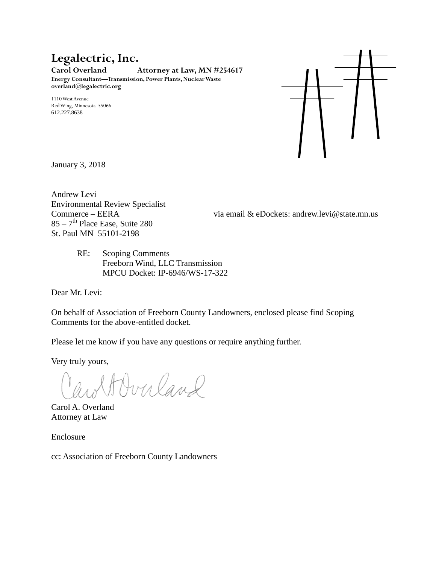# **Legalectric, Inc.**

**Carol Overland Attorney at Law, MN #254617 Energy Consultant—Transmission, Power Plants, Nuclear Waste overland@legalectric.org**

1110 West Avenue Red Wing, Minnesota 55066 612.227.8638



January 3, 2018

Andrew Levi Environmental Review Specialist 85 – 7<sup>th</sup> Place Ease, Suite 280 St. Paul MN 55101-2198

via email & eDockets: andrew.levi@state.mn.us

RE: Scoping Comments Freeborn Wind, LLC Transmission MPCU Docket: IP-6946/WS-17-322

Dear Mr. Levi:

On behalf of Association of Freeborn County Landowners, enclosed please find Scoping Comments for the above-entitled docket.

Please let me know if you have any questions or require anything further.

Very truly yours,

Averland

Carol A. Overland Attorney at Law

Enclosure

cc: Association of Freeborn County Landowners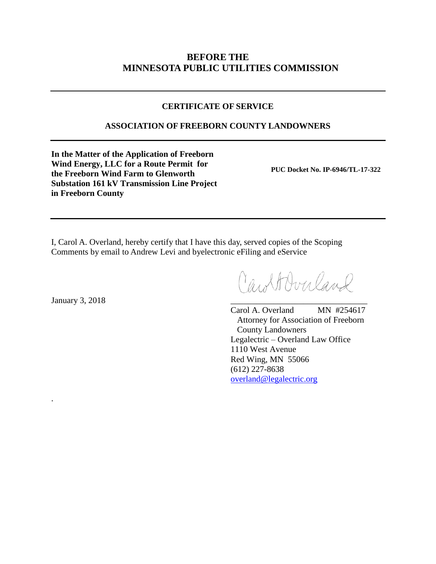# **BEFORE THE MINNESOTA PUBLIC UTILITIES COMMISSION**

#### **CERTIFICATE OF SERVICE**

#### **ASSOCIATION OF FREEBORN COUNTY LANDOWNERS**

**In the Matter of the Application of Freeborn Wind Energy, LLC for a Route Permit for the Freeborn Wind Farm to Glenworth Substation 161 kV Transmission Line Project in Freeborn County**

**PUC Docket No. IP-6946/TL-17-322**

I, Carol A. Overland, hereby certify that I have this day, served copies of the Scoping Comments by email to Andrew Levi and byelectronic eFiling and eService

CaroltOvuland

Carol A. Overland MN #254617 Attorney for Association of Freeborn County Landowners Legalectric – Overland Law Office 1110 West Avenue Red Wing, MN 55066 (612) 227-8638 [overland@legalectric.org](mailto:overland@redwing.net)

January 3, 2018

.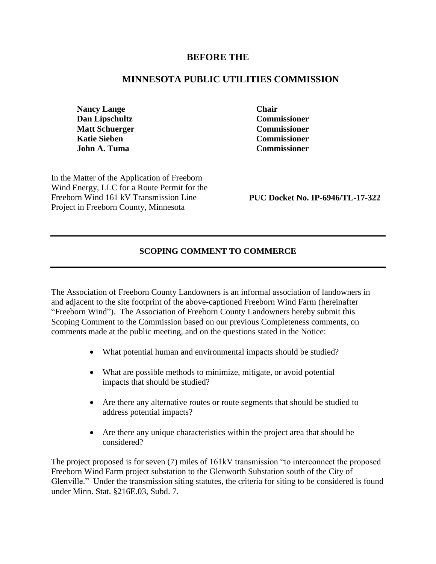#### **BEFORE THE**

## **MINNESOTA PUBLIC UTILITIES COMMISSION**

**Nancy Lange Chair Dan Lipschultz Commissioner Matt Schuerger Commissioner Katie Sieben Commissioner John A. Tuma Commissioner**

In the Matter of the Application of Freeborn Wind Energy, LLC for a Route Permit for the Freeborn Wind 161 kV Transmission Line Project in Freeborn County, Minnesota

**PUC Docket No. IP-6946/TL-17-322**

#### **SCOPING COMMENT TO COMMERCE**

The Association of Freeborn County Landowners is an informal association of landowners in and adjacent to the site footprint of the above-captioned Freeborn Wind Farm (hereinafter "Freeborn Wind"). The Association of Freeborn County Landowners hereby submit this Scoping Comment to the Commission based on our previous Completeness comments, on comments made at the public meeting, and on the questions stated in the Notice:

- What potential human and environmental impacts should be studied?
- What are possible methods to minimize, mitigate, or avoid potential impacts that should be studied?
- Are there any alternative routes or route segments that should be studied to address potential impacts?
- Are there any unique characteristics within the project area that should be considered?

The project proposed is for seven (7) miles of 161kV transmission "to interconnect the proposed Freeborn Wind Farm project substation to the Glenworth Substation south of the City of Glenville." Under the transmission siting statutes, the criteria for siting to be considered is found under Minn. Stat. §216E.03, Subd. 7.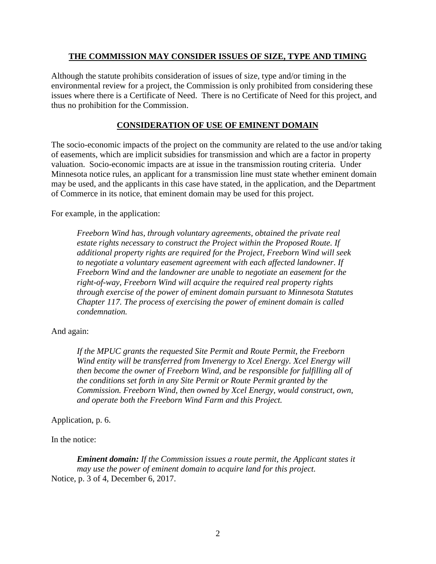#### **THE COMMISSION MAY CONSIDER ISSUES OF SIZE, TYPE AND TIMING**

Although the statute prohibits consideration of issues of size, type and/or timing in the environmental review for a project, the Commission is only prohibited from considering these issues where there is a Certificate of Need. There is no Certificate of Need for this project, and thus no prohibition for the Commission.

## **CONSIDERATION OF USE OF EMINENT DOMAIN**

The socio-economic impacts of the project on the community are related to the use and/or taking of easements, which are implicit subsidies for transmission and which are a factor in property valuation. Socio-economic impacts are at issue in the transmission routing criteria. Under Minnesota notice rules, an applicant for a transmission line must state whether eminent domain may be used, and the applicants in this case have stated, in the application, and the Department of Commerce in its notice, that eminent domain may be used for this project.

For example, in the application:

*Freeborn Wind has, through voluntary agreements, obtained the private real estate rights necessary to construct the Project within the Proposed Route. If additional property rights are required for the Project, Freeborn Wind will seek to negotiate a voluntary easement agreement with each affected landowner. If Freeborn Wind and the landowner are unable to negotiate an easement for the right-of-way, Freeborn Wind will acquire the required real property rights through exercise of the power of eminent domain pursuant to Minnesota Statutes Chapter 117. The process of exercising the power of eminent domain is called condemnation.*

## And again:

*If the MPUC grants the requested Site Permit and Route Permit, the Freeborn Wind entity will be transferred from Invenergy to Xcel Energy. Xcel Energy will then become the owner of Freeborn Wind, and be responsible for fulfilling all of the conditions set forth in any Site Permit or Route Permit granted by the Commission. Freeborn Wind, then owned by Xcel Energy, would construct, own, and operate both the Freeborn Wind Farm and this Project.*

## Application, p. 6.

## In the notice:

*Eminent domain: If the Commission issues a route permit, the Applicant states it may use the power of eminent domain to acquire land for this project.* Notice, p. 3 of 4, December 6, 2017.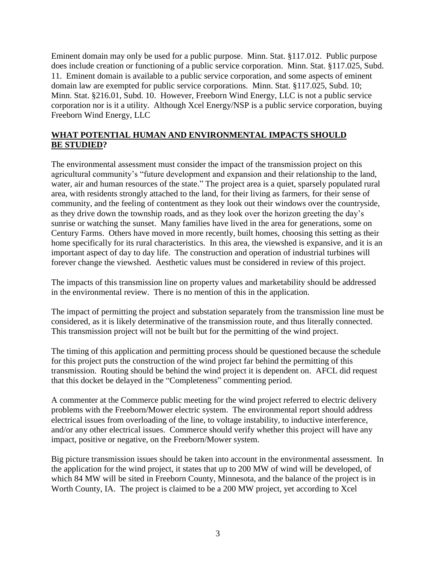Eminent domain may only be used for a public purpose. Minn. Stat. §117.012. Public purpose does include creation or functioning of a public service corporation. Minn. Stat. §117.025, Subd. 11. Eminent domain is available to a public service corporation, and some aspects of eminent domain law are exempted for public service corporations. Minn. Stat. §117.025, Subd. 10; Minn. Stat. §216.01, Subd. 10. However, Freeborn Wind Energy, LLC is not a public service corporation nor is it a utility. Although Xcel Energy/NSP is a public service corporation, buying Freeborn Wind Energy, LLC

# **WHAT POTENTIAL HUMAN AND ENVIRONMENTAL IMPACTS SHOULD BE STUDIED?**

The environmental assessment must consider the impact of the transmission project on this agricultural community's "future development and expansion and their relationship to the land, water, air and human resources of the state." The project area is a quiet, sparsely populated rural area, with residents strongly attached to the land, for their living as farmers, for their sense of community, and the feeling of contentment as they look out their windows over the countryside, as they drive down the township roads, and as they look over the horizon greeting the day's sunrise or watching the sunset. Many families have lived in the area for generations, some on Century Farms. Others have moved in more recently, built homes, choosing this setting as their home specifically for its rural characteristics. In this area, the viewshed is expansive, and it is an important aspect of day to day life. The construction and operation of industrial turbines will forever change the viewshed. Aesthetic values must be considered in review of this project.

The impacts of this transmission line on property values and marketability should be addressed in the environmental review. There is no mention of this in the application.

The impact of permitting the project and substation separately from the transmission line must be considered, as it is likely determinative of the transmission route, and thus literally connected. This transmission project will not be built but for the permitting of the wind project.

The timing of this application and permitting process should be questioned because the schedule for this project puts the construction of the wind project far behind the permitting of this transmission. Routing should be behind the wind project it is dependent on. AFCL did request that this docket be delayed in the "Completeness" commenting period.

A commenter at the Commerce public meeting for the wind project referred to electric delivery problems with the Freeborn/Mower electric system. The environmental report should address electrical issues from overloading of the line, to voltage instability, to inductive interference, and/or any other electrical issues. Commerce should verify whether this project will have any impact, positive or negative, on the Freeborn/Mower system.

Big picture transmission issues should be taken into account in the environmental assessment. In the application for the wind project, it states that up to 200 MW of wind will be developed, of which 84 MW will be sited in Freeborn County, Minnesota, and the balance of the project is in Worth County, IA. The project is claimed to be a 200 MW project, yet according to Xcel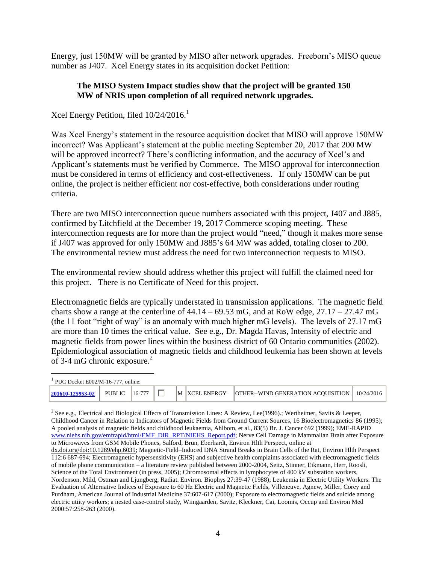Energy, just 150MW will be granted by MISO after network upgrades. Freeborn's MISO queue number as J407. Xcel Energy states in its acquisition docket Petition:

## **The MISO System Impact studies show that the project will be granted 150 MW of NRIS upon completion of all required network upgrades.**

Xcel Energy Petition, filed  $10/24/2016$ .<sup>1</sup>

Was Xcel Energy's statement in the resource acquisition docket that MISO will approve 150MW incorrect? Was Applicant's statement at the public meeting September 20, 2017 that 200 MW will be approved incorrect? There's conflicting information, and the accuracy of Xcel's and Applicant's statements must be verified by Commerce. The MISO approval for interconnection must be considered in terms of efficiency and cost-effectiveness. If only 150MW can be put online, the project is neither efficient nor cost-effective, both considerations under routing criteria.

There are two MISO interconnection queue numbers associated with this project, J407 and J885, confirmed by Litchfield at the December 19, 2017 Commerce scoping meeting. These interconnection requests are for more than the project would "need," though it makes more sense if J407 was approved for only 150MW and J885's 64 MW was added, totaling closer to 200. The environmental review must address the need for two interconnection requests to MISO.

The environmental review should address whether this project will fulfill the claimed need for this project. There is no Certificate of Need for this project.

Electromagnetic fields are typically understated in transmission applications.The magnetic field charts show a range at the centerline of  $44.14 - 69.53$  mG, and at RoW edge,  $27.17 - 27.47$  mG (the 11 foot "right of way" is an anomaly with much higher mG levels). The levels of 27.17 mG are more than 10 times the critical value. See e.g., Dr. Magda Havas, Intensity of electric and magnetic fields from power lines within the business district of 60 Ontario communities (2002). Epidemiological association of magnetic fields and childhood leukemia has been shown at levels of 3-4 mG chronic exposure. $^{2}$ 

| $^1$ PUC Docket E002/M-16-777, online: |        |          |  |  |                      |                                                               |  |
|----------------------------------------|--------|----------|--|--|----------------------|---------------------------------------------------------------|--|
| 201610-125953-02                       | PUBLIC | $16-777$ |  |  | <b>M XCEL ENERGY</b> | $\vert$ OTHER--WIND GENERATION ACQUISITION $\vert$ 10/24/2016 |  |

<sup>2</sup> See e.g., Electrical and Biological Effects of Transmission Lines: A Review, Lee(1996).; Wertheimer, Savits & Leeper, Childhood Cancer in Relation to Indicators of Magnetic Fields from Ground Current Sources, 16 Bioelectromagnetics 86 (1995); A pooled analysis of magnetic fields and childhood leukaemia, Ahlbom, et al., 83(5) Br. J. Cancer 692 (1999); EMF-RAPID [www.niehs.nih.gov/emfrapid/html/EMF\\_DIR\\_RPT/NIEHS\\_Report.pdf;](http://www.niehs.nih.gov/emfrapid/html/EMF_DIR_RPT/NIEHS_Report.pdf) Nerve Cell Damage in Mammalian Brain after Exposure to Microwaves from GSM Mobile Phones, Salford, Brun, Eberhardt, Environ Hlth Perspect, online at dx.doi.org/doi:10.1289/ehp.6039; Magnetic-Field–Induced DNA Strand Breaks in Brain Cells of the Rat, Environ Hlth Perspect 112:6 687-694; Electromagnetic hypersensitivity (EHS) and subjective health complaints associated with electromagnetic fields of mobile phone communication – a literature review published between 2000-2004, Seitz, Stinner, Eikmann, Herr, Roosli, Science of the Total Environment (in press, 2005); Chromosomal effects in lymphocytes of 400 kV substation workers, Nordenson, Mild, Ostman and Ljungberg, Radiat. Environ. Biophys 27:39-47 (1988); Leukemia in Electric Utility Workers: The Evaluation of Alternative Indices of Exposure to 60 Hz Electric and Magnetic Fields, Villeneuve, Agnew, Miller, Corey and Purdham, American Journal of Industrial Medicine 37:607-617 (2000); Exposure to electromagnetic fields and suicide among electric utiity workers; a nested case-control study, Wiingaarden, Savitz, Kleckner, Cai, Loomis, Occup and Environ Med 2000:57:258-263 (2000).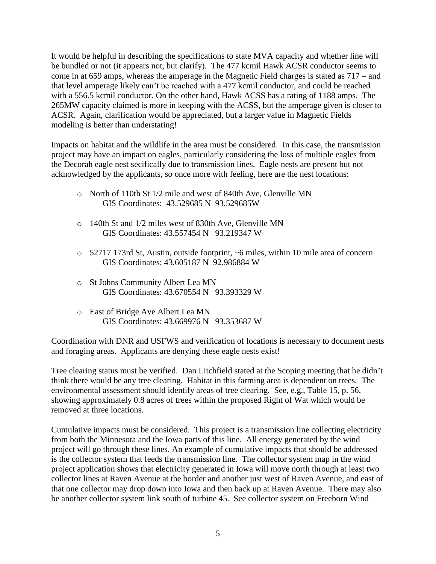It would be helpful in describing the specifications to state MVA capacity and whether line will be bundled or not (it appears not, but clarify). The 477 kcmil Hawk ACSR conductor seems to come in at 659 amps, whereas the amperage in the Magnetic Field charges is stated as 717 – and that level amperage likely can't be reached with a 477 kcmil conductor, and could be reached with a 556.5 kcmil conductor. On the other hand, Hawk ACSS has a rating of 1188 amps. The 265MW capacity claimed is more in keeping with the ACSS, but the amperage given is closer to ACSR. Again, clarification would be appreciated, but a larger value in Magnetic Fields modeling is better than understating!

Impacts on habitat and the wildlife in the area must be considered. In this case, the transmission project may have an impact on eagles, particularly considering the loss of multiple eagles from the Decorah eagle nest secifically due to transmission lines. Eagle nests are present but not acknowledged by the applicants, so once more with feeling, here are the nest locations:

- o North of 110th St 1/2 mile and west of 840th Ave, Glenville MN GIS Coordinates: 43.529685 N 93.529685W
- o 140th St and 1/2 miles west of 830th Ave, Glenville MN GIS Coordinates: 43.557454 N 93.219347 W
- $\circ$  52717 173rd St, Austin, outside footprint,  $\sim$  6 miles, within 10 mile area of concern GIS Coordinates: 43.605187 N 92.986884 W
- o St Johns Community Albert Lea MN GIS Coordinates: 43.670554 N 93.393329 W
- o East of Bridge Ave Albert Lea MN GIS Coordinates: 43.669976 N 93.353687 W

Coordination with DNR and USFWS and verification of locations is necessary to document nests and foraging areas. Applicants are denying these eagle nests exist!

Tree clearing status must be verified. Dan Litchfield stated at the Scoping meeting that he didn't think there would be any tree clearing. Habitat in this farming area is dependent on trees. The environmental assessment should identify areas of tree clearing. See, e.g., Table 15, p. 56, showing approximately 0.8 acres of trees within the proposed Right of Wat which would be removed at three locations.

Cumulative impacts must be considered. This project is a transmission line collecting electricity from both the Minnesota and the Iowa parts of this line. All energy generated by the wind project will go through these lines. An example of cumulative impacts that should be addressed is the collector system that feeds the transmission line. The collector system map in the wind project application shows that electricity generated in Iowa will move north through at least two collector lines at Raven Avenue at the border and another just west of Raven Avenue, and east of that one collector may drop down into Iowa and then back up at Raven Avenue. There may also be another collector system link south of turbine 45. See collector system on Freeborn Wind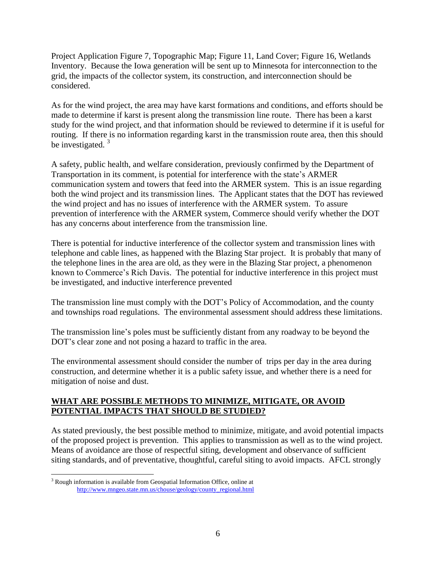Project Application Figure 7, Topographic Map; Figure 11, Land Cover; Figure 16, Wetlands Inventory. Because the Iowa generation will be sent up to Minnesota for interconnection to the grid, the impacts of the collector system, its construction, and interconnection should be considered.

As for the wind project, the area may have karst formations and conditions, and efforts should be made to determine if karst is present along the transmission line route. There has been a karst study for the wind project, and that information should be reviewed to determine if it is useful for routing. If there is no information regarding karst in the transmission route area, then this should be investigated.  $3$ 

A safety, public health, and welfare consideration, previously confirmed by the Department of Transportation in its comment, is potential for interference with the state's ARMER communication system and towers that feed into the ARMER system. This is an issue regarding both the wind project and its transmission lines. The Applicant states that the DOT has reviewed the wind project and has no issues of interference with the ARMER system. To assure prevention of interference with the ARMER system, Commerce should verify whether the DOT has any concerns about interference from the transmission line.

There is potential for inductive interference of the collector system and transmission lines with telephone and cable lines, as happened with the Blazing Star project. It is probably that many of the telephone lines in the area are old, as they were in the Blazing Star project, a phenomenon known to Commerce's Rich Davis. The potential for inductive interference in this project must be investigated, and inductive interference prevented

The transmission line must comply with the DOT's Policy of Accommodation, and the county and townships road regulations. The environmental assessment should address these limitations.

The transmission line's poles must be sufficiently distant from any roadway to be beyond the DOT's clear zone and not posing a hazard to traffic in the area.

The environmental assessment should consider the number of trips per day in the area during construction, and determine whether it is a public safety issue, and whether there is a need for mitigation of noise and dust.

# **WHAT ARE POSSIBLE METHODS TO MINIMIZE, MITIGATE, OR AVOID POTENTIAL IMPACTS THAT SHOULD BE STUDIED?**

As stated previously, the best possible method to minimize, mitigate, and avoid potential impacts of the proposed project is prevention. This applies to transmission as well as to the wind project. Means of avoidance are those of respectful siting, development and observance of sufficient siting standards, and of preventative, thoughtful, careful siting to avoid impacts. AFCL strongly

 $\overline{a}$ <sup>3</sup> Rough information is available from Geospatial Information Office, online at [http://www.mngeo.state.mn.us/chouse/geology/county\\_regional.html](http://www.mngeo.state.mn.us/chouse/geology/county_regional.html)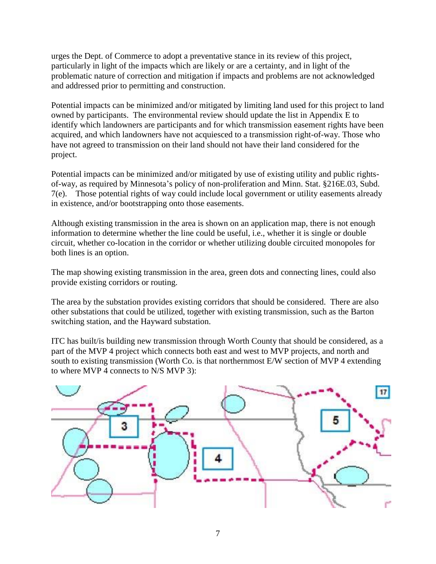urges the Dept. of Commerce to adopt a preventative stance in its review of this project, particularly in light of the impacts which are likely or are a certainty, and in light of the problematic nature of correction and mitigation if impacts and problems are not acknowledged and addressed prior to permitting and construction.

Potential impacts can be minimized and/or mitigated by limiting land used for this project to land owned by participants. The environmental review should update the list in Appendix E to identify which landowners are participants and for which transmission easement rights have been acquired, and which landowners have not acquiesced to a transmission right-of-way. Those who have not agreed to transmission on their land should not have their land considered for the project.

Potential impacts can be minimized and/or mitigated by use of existing utility and public rightsof-way, as required by Minnesota's policy of non-proliferation and Minn. Stat. §216E.03, Subd. 7(e). Those potential rights of way could include local government or utility easements already in existence, and/or bootstrapping onto those easements.

Although existing transmission in the area is shown on an application map, there is not enough information to determine whether the line could be useful, i.e., whether it is single or double circuit, whether co-location in the corridor or whether utilizing double circuited monopoles for both lines is an option.

The map showing existing transmission in the area, green dots and connecting lines, could also provide existing corridors or routing.

The area by the substation provides existing corridors that should be considered. There are also other substations that could be utilized, together with existing transmission, such as the Barton switching station, and the Hayward substation.

ITC has built/is building new transmission through Worth County that should be considered, as a part of the MVP 4 project which connects both east and west to MVP projects, and north and south to existing transmission (Worth Co. is that northernmost E/W section of MVP 4 extending to where MVP 4 connects to N/S MVP 3):

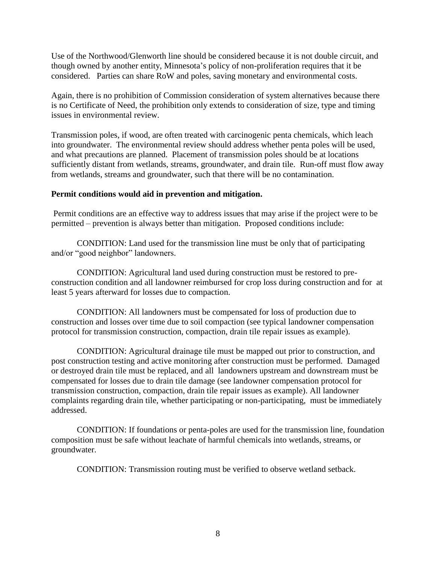Use of the Northwood/Glenworth line should be considered because it is not double circuit, and though owned by another entity, Minnesota's policy of non-proliferation requires that it be considered. Parties can share RoW and poles, saving monetary and environmental costs.

Again, there is no prohibition of Commission consideration of system alternatives because there is no Certificate of Need, the prohibition only extends to consideration of size, type and timing issues in environmental review.

Transmission poles, if wood, are often treated with carcinogenic penta chemicals, which leach into groundwater. The environmental review should address whether penta poles will be used, and what precautions are planned. Placement of transmission poles should be at locations sufficiently distant from wetlands, streams, groundwater, and drain tile. Run-off must flow away from wetlands, streams and groundwater, such that there will be no contamination.

#### **Permit conditions would aid in prevention and mitigation.**

Permit conditions are an effective way to address issues that may arise if the project were to be permitted – prevention is always better than mitigation. Proposed conditions include:

CONDITION: Land used for the transmission line must be only that of participating and/or "good neighbor" landowners.

CONDITION: Agricultural land used during construction must be restored to preconstruction condition and all landowner reimbursed for crop loss during construction and for at least 5 years afterward for losses due to compaction.

CONDITION: All landowners must be compensated for loss of production due to construction and losses over time due to soil compaction (see typical landowner compensation protocol for transmission construction, compaction, drain tile repair issues as example).

CONDITION: Agricultural drainage tile must be mapped out prior to construction, and post construction testing and active monitoring after construction must be performed. Damaged or destroyed drain tile must be replaced, and all landowners upstream and downstream must be compensated for losses due to drain tile damage (see landowner compensation protocol for transmission construction, compaction, drain tile repair issues as example). All landowner complaints regarding drain tile, whether participating or non-participating, must be immediately addressed.

CONDITION: If foundations or penta-poles are used for the transmission line, foundation composition must be safe without leachate of harmful chemicals into wetlands, streams, or groundwater.

CONDITION: Transmission routing must be verified to observe wetland setback.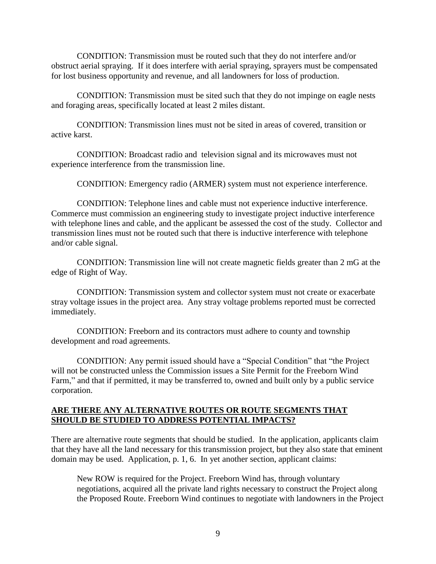CONDITION: Transmission must be routed such that they do not interfere and/or obstruct aerial spraying. If it does interfere with aerial spraying, sprayers must be compensated for lost business opportunity and revenue, and all landowners for loss of production.

CONDITION: Transmission must be sited such that they do not impinge on eagle nests and foraging areas, specifically located at least 2 miles distant.

CONDITION: Transmission lines must not be sited in areas of covered, transition or active karst.

CONDITION: Broadcast radio and television signal and its microwaves must not experience interference from the transmission line.

CONDITION: Emergency radio (ARMER) system must not experience interference.

CONDITION: Telephone lines and cable must not experience inductive interference. Commerce must commission an engineering study to investigate project inductive interference with telephone lines and cable, and the applicant be assessed the cost of the study. Collector and transmission lines must not be routed such that there is inductive interference with telephone and/or cable signal.

CONDITION: Transmission line will not create magnetic fields greater than 2 mG at the edge of Right of Way.

CONDITION: Transmission system and collector system must not create or exacerbate stray voltage issues in the project area. Any stray voltage problems reported must be corrected immediately.

CONDITION: Freeborn and its contractors must adhere to county and township development and road agreements.

CONDITION: Any permit issued should have a "Special Condition" that "the Project will not be constructed unless the Commission issues a Site Permit for the Freeborn Wind Farm," and that if permitted, it may be transferred to, owned and built only by a public service corporation.

#### **ARE THERE ANY ALTERNATIVE ROUTES OR ROUTE SEGMENTS THAT SHOULD BE STUDIED TO ADDRESS POTENTIAL IMPACTS?**

There are alternative route segments that should be studied. In the application, applicants claim that they have all the land necessary for this transmission project, but they also state that eminent domain may be used. Application, p. 1, 6. In yet another section, applicant claims:

New ROW is required for the Project. Freeborn Wind has, through voluntary negotiations, acquired all the private land rights necessary to construct the Project along the Proposed Route. Freeborn Wind continues to negotiate with landowners in the Project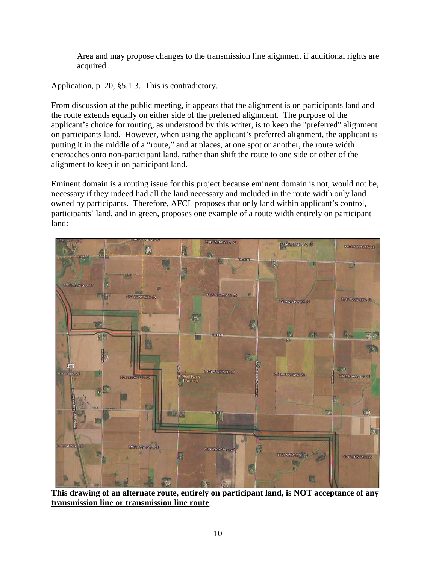Area and may propose changes to the transmission line alignment if additional rights are acquired.

Application, p. 20, §5.1.3. This is contradictory.

From discussion at the public meeting, it appears that the alignment is on participants land and the route extends equally on either side of the preferred alignment. The purpose of the applicant's choice for routing, as understood by this writer, is to keep the "preferred" alignment on participants land. However, when using the applicant's preferred alignment, the applicant is putting it in the middle of a "route," and at places, at one spot or another, the route width encroaches onto non-participant land, rather than shift the route to one side or other of the alignment to keep it on participant land.

Eminent domain is a routing issue for this project because eminent domain is not, would not be, necessary if they indeed had all the land necessary and included in the route width only land owned by participants. Therefore, AFCL proposes that only land within applicant's control, participants' land, and in green, proposes one example of a route width entirely on participant land:



**This drawing of an alternate route, entirely on participant land, is NOT acceptance of any transmission line or transmission line route**,